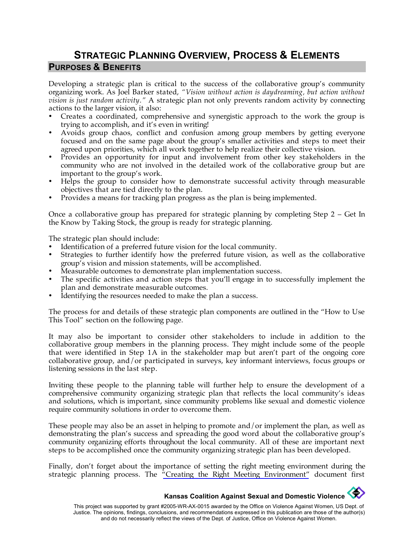## **STRATEGIC PLANNING OVERVIEW, PROCESS & ELEMENTS PURPOSES & BENEFITS**

Developing a strategic plan is critical to the success of the collaborative group's community organizing work. As Joel Barker stated, *"Vision without action is daydreaming, but action without vision is just random activity."* A strategic plan not only prevents random activity by connecting actions to the larger vision, it also:

- Creates a coordinated, comprehensive and synergistic approach to the work the group is trying to accomplish, and it's even in writing!
- Avoids group chaos, conflict and confusion among group members by getting everyone focused and on the same page about the group's smaller activities and steps to meet their agreed upon priorities, which all work together to help realize their collective vision.
- Provides an opportunity for input and involvement from other key stakeholders in the community who are not involved in the detailed work of the collaborative group but are important to the group's work.
- Helps the group to consider how to demonstrate successful activity through measurable objectives that are tied directly to the plan.
- Provides a means for tracking plan progress as the plan is being implemented.

Once a collaborative group has prepared for strategic planning by completing Step 2 – Get In the Know by Taking Stock, the group is ready for strategic planning.

The strategic plan should include:

- Identification of a preferred future vision for the local community.
- Strategies to further identify how the preferred future vision, as well as the collaborative group's vision and mission statements, will be accomplished.
- Measurable outcomes to demonstrate plan implementation success.
- The specific activities and action steps that you'll engage in to successfully implement the plan and demonstrate measurable outcomes.
- Identifying the resources needed to make the plan a success.

The process for and details of these strategic plan components are outlined in the "How to Use This Tool" section on the following page.

It may also be important to consider other stakeholders to include in addition to the collaborative group members in the planning process. They might include some of the people that were identified in Step 1A in the stakeholder map but aren't part of the ongoing core collaborative group, and/or participated in surveys, key informant interviews, focus groups or listening sessions in the last step.

Inviting these people to the planning table will further help to ensure the development of a comprehensive community organizing strategic plan that reflects the local community's ideas and solutions, which is important, since community problems like sexual and domestic violence require community solutions in order to overcome them.

These people may also be an asset in helping to promote and/or implement the plan, as well as demonstrating the plan's success and spreading the good word about the collaborative group's community organizing efforts throughout the local community. All of these are important next steps to be accomplished once the community organizing strategic plan has been developed.

Finally, don't forget about the importance of setting the right meeting environment during the strategic planning process. The  $\pi$ Creating the Right Meeting Environment" document first

## **Kansas Coalition Against Sexual and Domestic Violence**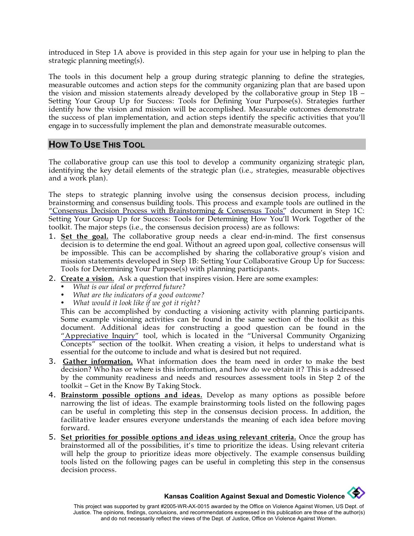introduced in Step 1A above is provided in this step again for your use in helping to plan the strategic planning meeting(s).

The tools in this document help a group during strategic planning to define the strategies, measurable outcomes and action steps for the community organizing plan that are based upon the vision and mission statements already developed by the collaborative group in Step 1B – Setting Your Group Up for Success: Tools for Defining Your Purpose(s). Strategies further identify how the vision and mission will be accomplished. Measurable outcomes demonstrate the success of plan implementation, and action steps identify the specific activities that you'll engage in to successfully implement the plan and demonstrate measurable outcomes.

#### **HOW TO USE THIS TOOL**

The collaborative group can use this tool to develop a community organizing strategic plan, identifying the key detail elements of the strategic plan (i.e., strategies, measurable objectives and a work plan).

The steps to strategic planning involve using the consensus decision process, including brainstorming and consensus building tools. This process and example tools are outlined in the ["Consensus Decision Process with Brainstorming & Consensus Tools"](http://www.kcsdv.org/toolkit/commorgtoolkit.html#Consensus) document in Step 1C: Setting Your Group Up for Success: Tools for Determining How You'll Work Together of the toolkit. The major steps (i.e., the consensus decision process) are as follows:

- 1. **Set the goal.** The collaborative group needs a clear end-in-mind. The first consensus decision is to determine the end goal. Without an agreed upon goal, collective consensus will be impossible. This can be accomplished by sharing the collaborative group's vision and mission statements developed in Step 1B: Setting Your Collaborative Group Up for Success: Tools for Determining Your Purpose(s) with planning participants.
- 2. **Create a vision.** Ask a question that inspires vision. Here are some examples:
	- *What is our ideal or preferred future?*
	- *What are the indicators of a good outcome?*
	- *What would it look like if we got it right?*

This can be accomplished by conducting a visioning activity with planning participants. Some example visioning activities can be found in the same section of the toolkit as this document. Additional ideas for constructing a good question can be found in the ["Appreciative Inquiry"](http://www.kcsdv.org/toolkit/commorgtoolkit.html#AppreciativeInquiry) tool, which is located in the "Universal Community Organizing Concepts" section of the toolkit. When creating a vision, it helps to understand what is essential for the outcome to include and what is desired but not required.

- 3. **Gather information.** What information does the team need in order to make the best decision? Who has or where is this information, and how do we obtain it? This is addressed by the community readiness and needs and resources assessment tools in Step 2 of the toolkit – Get in the Know By Taking Stock.
- 4. **Brainstorm possible options and ideas.** Develop as many options as possible before narrowing the list of ideas. The example brainstorming tools listed on the following pages can be useful in completing this step in the consensus decision process. In addition, the facilitative leader ensures everyone understands the meaning of each idea before moving forward.
- 5. **Set priorities for possible options and ideas using relevant criteria.** Once the group has brainstormed all of the possibilities, it's time to prioritize the ideas. Using relevant criteria will help the group to prioritize ideas more objectively. The example consensus building tools listed on the following pages can be useful in completing this step in the consensus decision process.

## **Kansas Coalition Against Sexual and Domestic Violence**

This project was supported by grant #2005-WR-AX-0015 awarded by the Office on Violence Against Women, US Dept. of Justice. The opinions, findings, conclusions, and recommendations expressed in this publication are those of the author(s) and do not necessarily reflect the views of the Dept. of Justice, Office on Violence Against Women.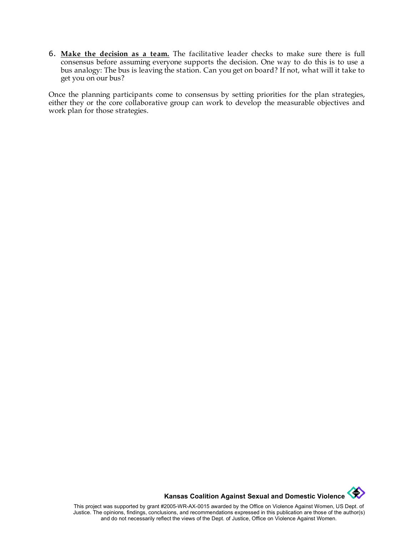6. **Make the decision as a team.** The facilitative leader checks to make sure there is full consensus before assuming everyone supports the decision. One way to do this is to use a bus analogy: The bus is leaving the station. Can you get on board? If not, what will it take to get you on our bus?

Once the planning participants come to consensus by setting priorities for the plan strategies, either they or the core collaborative group can work to develop the measurable objectives and work plan for those strategies.

**Kansas Coalition Against Sexual and Domestic Violence** 

This project was supported by grant #2005-WR-AX-0015 awarded by the Office on Violence Against Women, US Dept. of Justice. The opinions, findings, conclusions, and recommendations expressed in this publication are those of the author(s) and do not necessarily reflect the views of the Dept. of Justice, Office on Violence Against Women.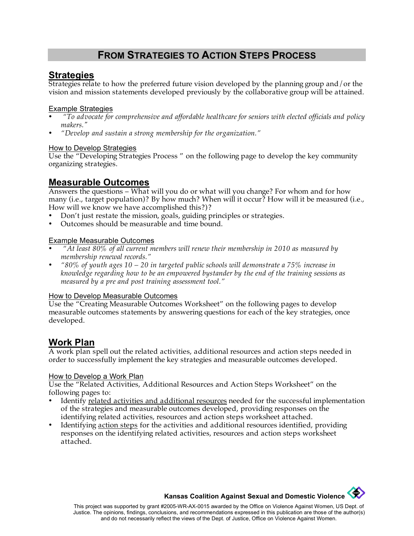## **FROM STRATEGIES TO ACTION STEPS PROCESS**

### **Strategies**

Strategies relate to how the preferred future vision developed by the planning group and/or the vision and mission statements developed previously by the collaborative group will be attained.

#### Example Strategies

- • *"To advocate for comprehensive and affordable healthcare for seniors with elected officials and policy makers."*
- *"Develop and sustain a strong membership for the organization."*

#### How to Develop Strategies

Use the "Developing Strategies Process " on the following page to develop the key community organizing strategies.

### **Measurable Outcomes**

Answers the questions – What will you do or what will you change? For whom and for how many (i.e., target population)? By how much? When will it occur? How will it be measured (i.e., How will we know we have accomplished this?)?

- Don't just restate the mission, goals, guiding principles or strategies.
- Outcomes should be measurable and time bound.

#### Example Measurable Outcomes

- • *"At least 80% of all current members will renew their membership in 2010 as measured by membership renewal records."*
- *"80% of youth ages 10 20 in targeted public schools will demonstrate a 75% increase in knowledge regarding how to be an empowered bystander by the end of the training sessions as measured by a pre and post training assessment tool."*

#### How to Develop Measurable Outcomes

Use the "Creating Measurable Outcomes Worksheet" on the following pages to develop measurable outcomes statements by answering questions for each of the key strategies, once developed.

### **Work Plan**

A work plan spell out the related activities, additional resources and action steps needed in order to successfully implement the key strategies and measurable outcomes developed.

#### How to Develop a Work Plan

Use the "Related Activities, Additional Resources and Action Steps Worksheet" on the following pages to:

- Identify related activities and additional resources needed for the successful implementation of the strategies and measurable outcomes developed, providing responses on the identifying related activities, resources and action steps worksheet attached.
- Identifying action steps for the activities and additional resources identified, providing responses on the identifying related activities, resources and action steps worksheet attached.

**Kansas Coalition Against Sexual and Domestic Violence**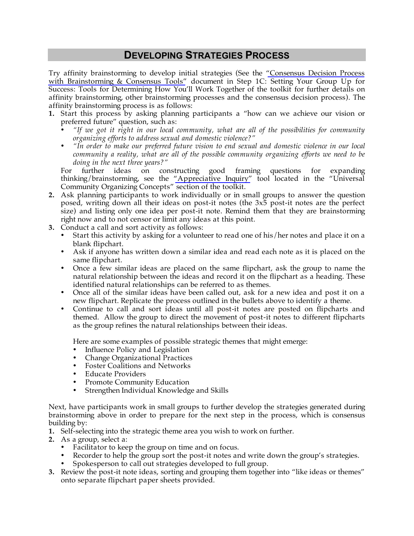## **DEVELOPING STRATEGIES PROCESS**

Try affinity brainstorming to develop initial strategies (See the ["Consensus Decision Process](http://www.kcsdv.org/toolkit/commorgtoolkit.html#Consensus) [with Brainstorming & Consensus Tools"](http://www.kcsdv.org/toolkit/commorgtoolkit.html#Consensus) document in Step 1C: Setting Your Group Up for Success: Tools for Determining How You'll Work Together of the toolkit for further details on affinity brainstorming, other brainstorming processes and the consensus decision process). The affinity brainstorming process is as follows:

- **1.** Start this process by asking planning participants a "how can we achieve our vision or preferred future" question, such as:
	- *"If we got it right in our local community, what are all of the possibilities for community organizing efforts to address sexual and domestic violence?"*
	- *"In order to make our preferred future vision to end sexual and domestic violence in our local community a reality, what are all of the possible community organizing efforts we need to be doing in the next three years?"*

For further ideas on constructing good framing questions for expanding thinking/brainstorming, see the ["Appreciative Inquiry"](http://www.kcsdv.org/toolkit/commorgtoolkit.html#AppreciativeInquiry) tool located in the "Universal Community Organizing Concepts" section of the toolkit.

- **2.** Ask planning participants to work individually or in small groups to answer the question posed, writing down all their ideas on post-it notes (the 3x5 post-it notes are the perfect size) and listing only one idea per post-it note. Remind them that they are brainstorming right now and to not censor or limit any ideas at this point.
- **3.** Conduct a call and sort activity as follows:
	- Start this activity by asking for a volunteer to read one of his/her notes and place it on a blank flipchart.
	- Ask if anyone has written down a similar idea and read each note as it is placed on the same flipchart.
	- Once a few similar ideas are placed on the same flipchart, ask the group to name the natural relationship between the ideas and record it on the flipchart as a heading. These identified natural relationships can be referred to as themes.
	- Once all of the similar ideas have been called out, ask for a new idea and post it on a new flipchart. Replicate the process outlined in the bullets above to identify a theme.
	- Continue to call and sort ideas until all post-it notes are posted on flipcharts and themed. Allow the group to direct the movement of post-it notes to different flipcharts as the group refines the natural relationships between their ideas.

Here are some examples of possible strategic themes that might emerge:

- Influence Policy and Legislation
- Change Organizational Practices
- Foster Coalitions and Networks
- Educate Providers
- Promote Community Education
- Strengthen Individual Knowledge and Skills

Next, have participants work in small groups to further develop the strategies generated during brainstorming above in order to prepare for the next step in the process, which is consensus building by:

- **1.** Self-selecting into the strategic theme area you wish to work on further.
- **2.** As a group, select a:
	- Facilitator to keep the group on time and on focus.
	- Recorder to help the group sort the post-it notes and write down the group's strategies.
	- Spokesperson to call out strategies developed to full group.
- **3.** Review the post-it note ideas, sorting and grouping them together into "like ideas or themes" onto separate flipchart paper sheets provided.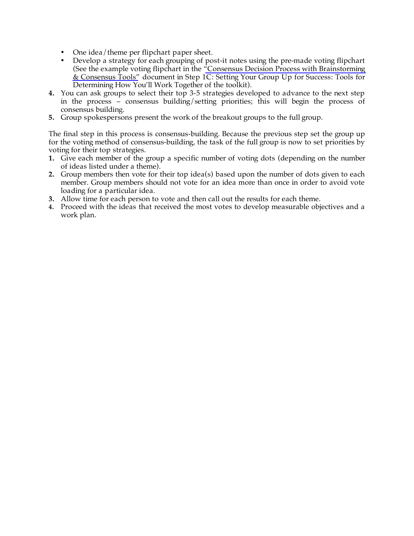- One idea/theme per flipchart paper sheet.
- Develop a strategy for each grouping of post-it notes using the pre-made voting flipchart (See the example voting flipchart in the ["Consensus Decision Process with Brainstorming](http://www.kcsdv.org/toolkit/commorgtoolkit.html#Consensus)  [& Consensus Tools"](http://www.kcsdv.org/toolkit/commorgtoolkit.html#Consensus) document in Step 1C: Setting Your Group Up for Success: Tools for Determining How You'll Work Together of the toolkit).
- **4.** You can ask groups to select their top 3-5 strategies developed to advance to the next step in the process – consensus building/setting priorities; this will begin the process of consensus building.
- **5.** Group spokespersons present the work of the breakout groups to the full group.

The final step in this process is consensus-building. Because the previous step set the group up for the voting method of consensus-building, the task of the full group is now to set priorities by voting for their top strategies.

- **1.** Give each member of the group a specific number of voting dots (depending on the number of ideas listed under a theme).
- **2.** Group members then vote for their top idea(s) based upon the number of dots given to each member. Group members should not vote for an idea more than once in order to avoid vote loading for a particular idea.
- **3.** Allow time for each person to vote and then call out the results for each theme.
- **4.** Proceed with the ideas that received the most votes to develop measurable objectives and a work plan.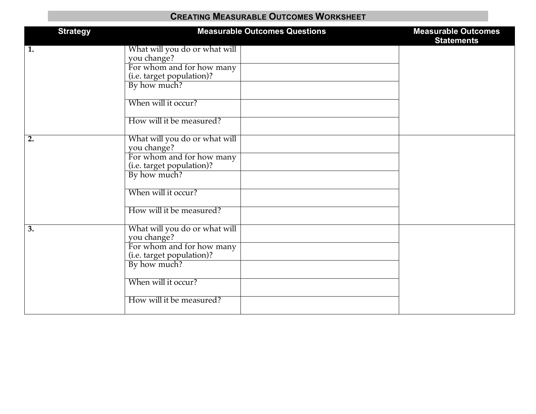## **CREATING MEASURABLE OUTCOMES WORKSHEET**

| <b>Strategy</b>  | <b>Measurable Outcomes Questions</b>                                                                                                                                      | <b>Measurable Outcomes</b><br><b>Statements</b> |
|------------------|---------------------------------------------------------------------------------------------------------------------------------------------------------------------------|-------------------------------------------------|
| $\overline{1}$ . | What will you do or what will<br>you change?<br>For whom and for how many<br>(i.e. target population)?<br>By how much?<br>When will it occur?<br>How will it be measured? |                                                 |
| $\overline{2}$ . | What will you do or what will<br>you change?<br>For whom and for how many<br>(i.e. target population)?<br>By how much?<br>When will it occur?<br>How will it be measured? |                                                 |
| $\overline{3}$ . | What will you do or what will<br>you change?<br>For whom and for how many<br>(i.e. target population)?<br>By how much?<br>When will it occur?<br>How will it be measured? |                                                 |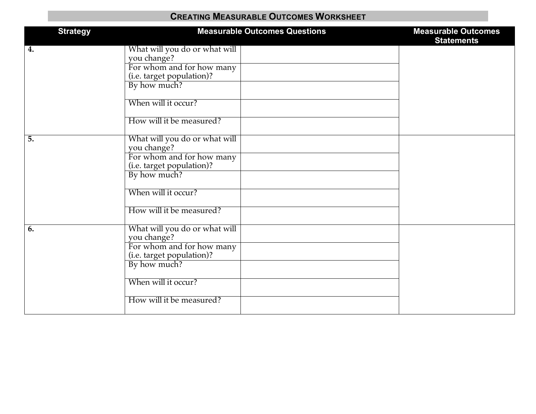## **CREATING MEASURABLE OUTCOMES WORKSHEET**

| <b>Strategy</b> | <b>Measurable Outcomes Questions</b>                                                                                                                                      | <b>Measurable Outcomes</b><br><b>Statements</b> |
|-----------------|---------------------------------------------------------------------------------------------------------------------------------------------------------------------------|-------------------------------------------------|
| 4.              | What will you do or what will<br>you change?<br>For whom and for how many<br>(i.e. target population)?<br>By how much?<br>When will it occur?<br>How will it be measured? |                                                 |
| 5.              | What will you do or what will<br>you change?<br>For whom and for how many<br>(i.e. target population)?<br>By how much?<br>When will it occur?<br>How will it be measured? |                                                 |
| 6.              | What will you do or what will<br>you change?<br>For whom and for how many<br>(i.e. target population)?<br>By how much?<br>When will it occur?<br>How will it be measured? |                                                 |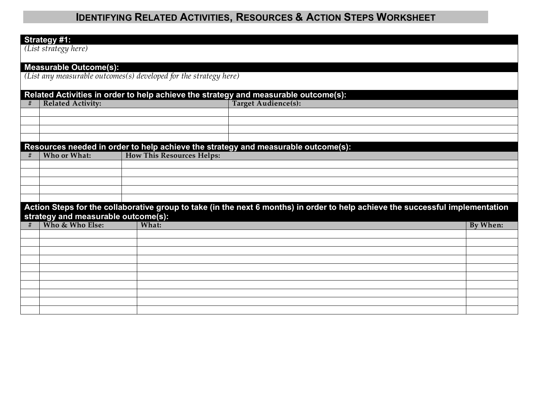### **Strategy #1:**

*(List strategy here)*

| <b>Measurable Outcome(s):</b><br>(List any measurable outcomes(s) developed for the strategy here) |                                                                                                                                |                                  |                            |                 |  |  |  |  |
|----------------------------------------------------------------------------------------------------|--------------------------------------------------------------------------------------------------------------------------------|----------------------------------|----------------------------|-----------------|--|--|--|--|
| Related Activities in order to help achieve the strategy and measurable outcome(s):                |                                                                                                                                |                                  |                            |                 |  |  |  |  |
| #                                                                                                  | <b>Related Activity:</b>                                                                                                       |                                  | <b>Target Audience(s):</b> |                 |  |  |  |  |
|                                                                                                    |                                                                                                                                |                                  |                            |                 |  |  |  |  |
|                                                                                                    |                                                                                                                                |                                  |                            |                 |  |  |  |  |
|                                                                                                    |                                                                                                                                |                                  |                            |                 |  |  |  |  |
|                                                                                                    | Resources needed in order to help achieve the strategy and measurable outcome(s):                                              |                                  |                            |                 |  |  |  |  |
| #                                                                                                  | Who or What:                                                                                                                   | <b>How This Resources Helps:</b> |                            |                 |  |  |  |  |
|                                                                                                    |                                                                                                                                |                                  |                            |                 |  |  |  |  |
|                                                                                                    |                                                                                                                                |                                  |                            |                 |  |  |  |  |
|                                                                                                    |                                                                                                                                |                                  |                            |                 |  |  |  |  |
|                                                                                                    |                                                                                                                                |                                  |                            |                 |  |  |  |  |
|                                                                                                    | Action Steps for the collaborative group to take (in the next 6 months) in order to help achieve the successful implementation |                                  |                            |                 |  |  |  |  |
|                                                                                                    | strategy and measurable outcome(s):                                                                                            |                                  |                            |                 |  |  |  |  |
|                                                                                                    | Who & Who Else:                                                                                                                | What:                            |                            | <b>By When:</b> |  |  |  |  |
|                                                                                                    |                                                                                                                                |                                  |                            |                 |  |  |  |  |
|                                                                                                    |                                                                                                                                |                                  |                            |                 |  |  |  |  |
|                                                                                                    |                                                                                                                                |                                  |                            |                 |  |  |  |  |
|                                                                                                    |                                                                                                                                |                                  |                            |                 |  |  |  |  |
|                                                                                                    |                                                                                                                                |                                  |                            |                 |  |  |  |  |
|                                                                                                    |                                                                                                                                |                                  |                            |                 |  |  |  |  |
|                                                                                                    |                                                                                                                                |                                  |                            |                 |  |  |  |  |
|                                                                                                    |                                                                                                                                |                                  |                            |                 |  |  |  |  |
|                                                                                                    |                                                                                                                                |                                  |                            |                 |  |  |  |  |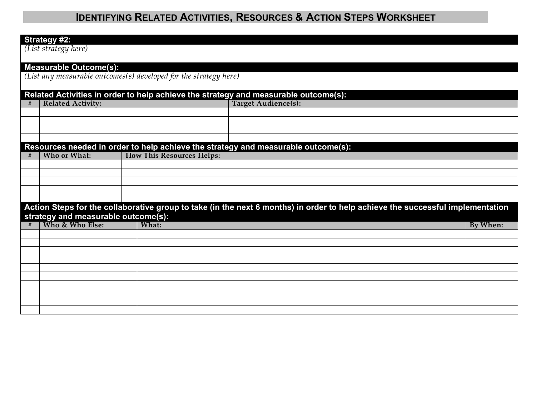#### **Strategy #2:**

*(List strategy here)*

# **Measurable Outcome(s):** *(List any measurable outcomes(s) developed for the strategy here)* **Related Activities in order to help achieve the strategy and measurable outcome(s): # Related Activity: Target Audience(s): Resources needed in order to help achieve the strategy and measurable outcome(s):**<br>
<del>
■</del> Nho or What: I How This Resources Helps:  **How This Resources Helps: Action Steps for the collaborative group to take (in the next 6 months) in order to help achieve the successful implementation strategy and measurable outcome(s):**<br> **# Who & Who Else:** What: **# Who & Who Else: What: By When:**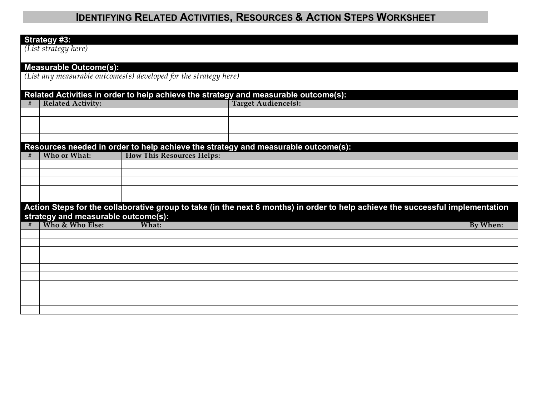#### **Strategy #3:**

*(List strategy here)*

# **Measurable Outcome(s):** *(List any measurable outcomes(s) developed for the strategy here)* **Related Activities in order to help achieve the strategy and measurable outcome(s): # Related Activity: Target Audience(s): Resources needed in order to help achieve the strategy and measurable outcome(s):**<br>
<del>
■</del> Nho or What: I How This Resources Helps:  **How This Resources Helps: Action Steps for the collaborative group to take (in the next 6 months) in order to help achieve the successful implementation strategy and measurable outcome(s):**<br> **# Who & Who Else:** What: **# Who & Who Else: What: By When:**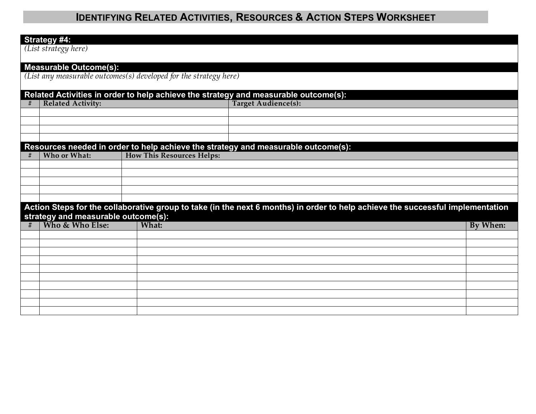#### **Strategy #4:**

*(List strategy here)*

# **Measurable Outcome(s):** *(List any measurable outcomes(s) developed for the strategy here)* **Related Activities in order to help achieve the strategy and measurable outcome(s):**  $$ **Resources needed in order to help achieve the strategy and measurable outcome(s):**<br>
<del>
■</del> Nho or What: I How This Resources Helps:  **How This Resources Helps: Action Steps for the collaborative group to take (in the next 6 months) in order to help achieve the successful implementation strategy and measurable outcome(s):**<br>
# | Who & Who Else: | What: **# Who & Who Else: What: By When:**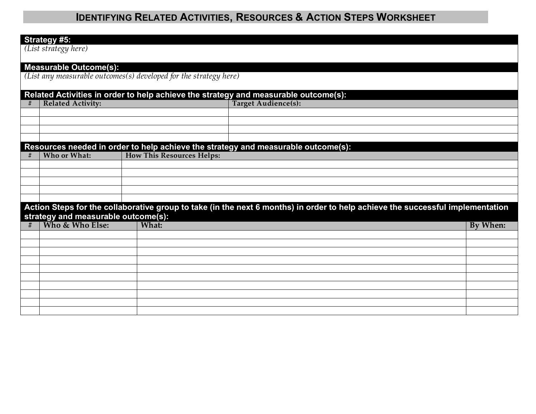#### **Strategy #5:**

*(List strategy here)*

# **Measurable Outcome(s):** *(List any measurable outcomes(s) developed for the strategy here)* **Related Activities in order to help achieve the strategy and measurable outcome(s):**  $$ **Resources needed in order to help achieve the strategy and measurable outcome(s):**<br>
<del>
■</del> Nho or What: I How This Resources Helps:  **How This Resources Helps: Action Steps for the collaborative group to take (in the next 6 months) in order to help achieve the successful implementation strategy and measurable outcome(s):**<br>
# | Who & Who Else: | What: **# Who & Who Else: What: By When:**